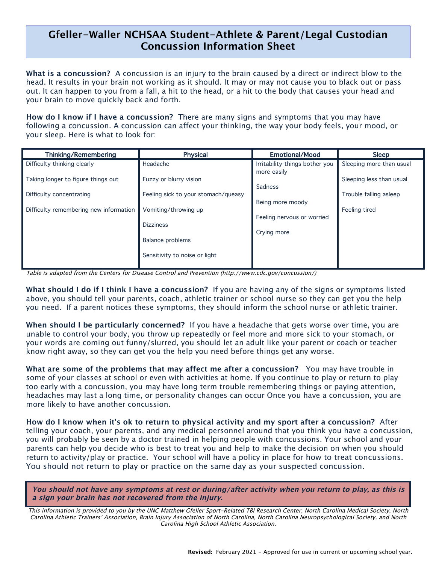## **Gfeller-Waller NCHSAA Student-Athlete & Parent/Legal Custodian Concussion Information Sheet**

l,

**What is a concussion?** A concussion is an injury to the brain caused by a direct or indirect blow to the head. It results in your brain not working as it should. It may or may not cause you to black out or pass out. It can happen to you from a fall, a hit to the head, or a hit to the body that causes your head and your brain to move quickly back and forth.

**How do I know if I have a concussion?** There are many signs and symptoms that you may have following a concussion. A concussion can affect your thinking, the way your body feels, your mood, or your sleep. Here is what to look for:

| Thinking/Remembering                                           | Physical                                                      | <b>Emotional/Mood</b>                          | <b>Sleep</b>                                       |
|----------------------------------------------------------------|---------------------------------------------------------------|------------------------------------------------|----------------------------------------------------|
| Difficulty thinking clearly                                    | Headache                                                      | Irritability-things bother you                 | Sleeping more than usual                           |
| Taking longer to figure things out<br>Difficulty concentrating | Fuzzy or blurry vision<br>Feeling sick to your stomach/queasy | more easily<br>Sadness                         | Sleeping less than usual<br>Trouble falling asleep |
| Difficulty remembering new information                         | Vomiting/throwing up<br><b>Dizziness</b>                      | Being more moody<br>Feeling nervous or worried | Feeling tired                                      |
|                                                                | Balance problems<br>Sensitivity to noise or light             | Crying more                                    |                                                    |
|                                                                |                                                               |                                                |                                                    |

Table is adapted from the Centers for Disease Control and Prevention (http://www.cdc.gov/concussion/)

**What should I do if I think I have a concussion?** If you are having any of the signs or symptoms listed above, you should tell your parents, coach, athletic trainer or school nurse so they can get you the help you need. If a parent notices these symptoms, they should inform the school nurse or athletic trainer.

**When should I be particularly concerned?** If you have a headache that gets worse over time, you are unable to control your body, you throw up repeatedly or feel more and more sick to your stomach, or your words are coming out funny/slurred, you should let an adult like your parent or coach or teacher know right away, so they can get you the help you need before things get any worse.

**What are some of the problems that may affect me after a concussion?** You may have trouble in some of your classes at school or even with activities at home. If you continue to play or return to play too early with a concussion, you may have long term trouble remembering things or paying attention, headaches may last a long time, or personality changes can occur Once you have a concussion, you are more likely to have another concussion.

**How do I know when it's ok to return to physical activity and my sport after a concussion?** After telling your coach, your parents, and any medical personnel around that you think you have a concussion, you will probably be seen by a doctor trained in helping people with concussions. Your school and your parents can help you decide who is best to treat you and help to make the decision on when you should return to activity/play or practice. Your school will have a policy in place for how to treat concussions. You should not return to play or practice on the same day as your suspected concussion.

**You should not have any symptoms at rest or during/after activity when you return to play, as this is a sign your brain has not recovered from the injury.**

This information is provided to you by the UNC Matthew Gfeller Sport-Related TBI Research Center, North Carolina Medical Society, North Carolina Athletic Trainers' Association, Brain Injury Association of North Carolina, North Carolina Neuropsychological Society, and North Carolina High School Athletic Association.